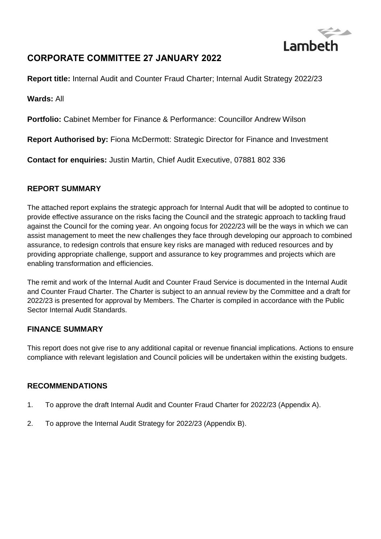

# **CORPORATE COMMITTEE 27 JANUARY 2022**

**Report title:** Internal Audit and Counter Fraud Charter; Internal Audit Strategy 2022/23

**Wards:** All

**Portfolio:** Cabinet Member for Finance & Performance: Councillor Andrew Wilson

**Report Authorised by:** Fiona McDermott: Strategic Director for Finance and Investment

**Contact for enquiries:** Justin Martin, Chief Audit Executive, 07881 802 336

### **REPORT SUMMARY**

The attached report explains the strategic approach for Internal Audit that will be adopted to continue to provide effective assurance on the risks facing the Council and the strategic approach to tackling fraud against the Council for the coming year. An ongoing focus for 2022/23 will be the ways in which we can assist management to meet the new challenges they face through developing our approach to combined assurance, to redesign controls that ensure key risks are managed with reduced resources and by providing appropriate challenge, support and assurance to key programmes and projects which are enabling transformation and efficiencies.

The remit and work of the Internal Audit and Counter Fraud Service is documented in the Internal Audit and Counter Fraud Charter. The Charter is subject to an annual review by the Committee and a draft for 2022/23 is presented for approval by Members. The Charter is compiled in accordance with the Public Sector Internal Audit Standards.

### **FINANCE SUMMARY**

This report does not give rise to any additional capital or revenue financial implications. Actions to ensure compliance with relevant legislation and Council policies will be undertaken within the existing budgets.

### **RECOMMENDATIONS**

- 1. To approve the draft Internal Audit and Counter Fraud Charter for 2022/23 (Appendix A).
- 2. To approve the Internal Audit Strategy for 2022/23 (Appendix B).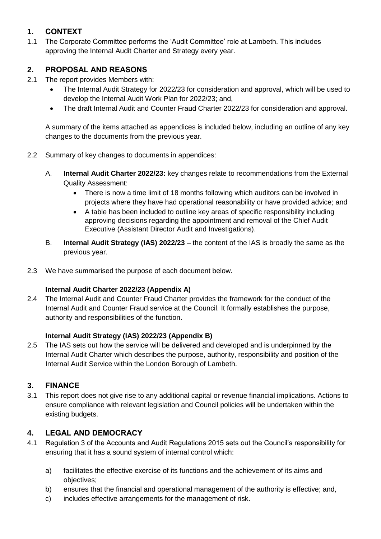## **1. CONTEXT**

1.1 The Corporate Committee performs the 'Audit Committee' role at Lambeth. This includes approving the Internal Audit Charter and Strategy every year.

## **2. PROPOSAL AND REASONS**

- 2.1 The report provides Members with:
	- The Internal Audit Strategy for 2022/23 for consideration and approval, which will be used to develop the Internal Audit Work Plan for 2022/23; and,
	- The draft Internal Audit and Counter Fraud Charter 2022/23 for consideration and approval.

A summary of the items attached as appendices is included below, including an outline of any key changes to the documents from the previous year.

- 2.2 Summary of key changes to documents in appendices:
	- A. **Internal Audit Charter 2022/23:** key changes relate to recommendations from the External Quality Assessment:
		- There is now a time limit of 18 months following which auditors can be involved in projects where they have had operational reasonability or have provided advice; and
		- A table has been included to outline key areas of specific responsibility including approving decisions regarding the appointment and removal of the Chief Audit Executive (Assistant Director Audit and Investigations).
	- B. **Internal Audit Strategy (IAS) 2022/23** the content of the IAS is broadly the same as the previous year.
- 2.3 We have summarised the purpose of each document below.

## **Internal Audit Charter 2022/23 (Appendix A)**

2.4 The Internal Audit and Counter Fraud Charter provides the framework for the conduct of the Internal Audit and Counter Fraud service at the Council. It formally establishes the purpose, authority and responsibilities of the function.

## **Internal Audit Strategy (IAS) 2022/23 (Appendix B)**

2.5 The IAS sets out how the service will be delivered and developed and is underpinned by the Internal Audit Charter which describes the purpose, authority, responsibility and position of the Internal Audit Service within the London Borough of Lambeth.

## **3. FINANCE**

3.1 This report does not give rise to any additional capital or revenue financial implications. Actions to ensure compliance with relevant legislation and Council policies will be undertaken within the existing budgets.

## **4. LEGAL AND DEMOCRACY**

- 4.1 Regulation 3 of the Accounts and Audit Regulations 2015 sets out the Council's responsibility for ensuring that it has a sound system of internal control which:
	- a) facilitates the effective exercise of its functions and the achievement of its aims and objectives;
	- b) ensures that the financial and operational management of the authority is effective; and,
	- c) includes effective arrangements for the management of risk.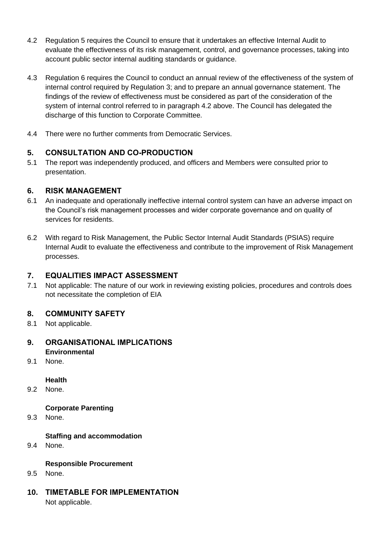- 4.2 Regulation 5 requires the Council to ensure that it undertakes an effective Internal Audit to evaluate the effectiveness of its risk management, control, and governance processes, taking into account public sector internal auditing standards or guidance.
- 4.3 Regulation 6 requires the Council to conduct an annual review of the effectiveness of the system of internal control required by Regulation 3; and to prepare an annual governance statement. The findings of the review of effectiveness must be considered as part of the consideration of the system of internal control referred to in paragraph 4.2 above. The Council has delegated the discharge of this function to Corporate Committee.
- 4.4 There were no further comments from Democratic Services.

## **5. CONSULTATION AND CO-PRODUCTION**

5.1 The report was independently produced, and officers and Members were consulted prior to presentation.

### **6. RISK MANAGEMENT**

- 6.1 An inadequate and operationally ineffective internal control system can have an adverse impact on the Council's risk management processes and wider corporate governance and on quality of services for residents.
- 6.2 With regard to Risk Management, the Public Sector Internal Audit Standards (PSIAS) require Internal Audit to evaluate the effectiveness and contribute to the improvement of Risk Management processes.

## **7. EQUALITIES IMPACT ASSESSMENT**

7.1 Not applicable: The nature of our work in reviewing existing policies, procedures and controls does not necessitate the completion of EIA

### **8. COMMUNITY SAFETY**

8.1 Not applicable.

## **9. ORGANISATIONAL IMPLICATIONS Environmental**

9.1 None.

### **Health**

9.2 None.

### **Corporate Parenting**

9.3 None.

### **Staffing and accommodation**

9.4 None.

### **Responsible Procurement**

- 9.5 None.
- **10. TIMETABLE FOR IMPLEMENTATION** Not applicable.